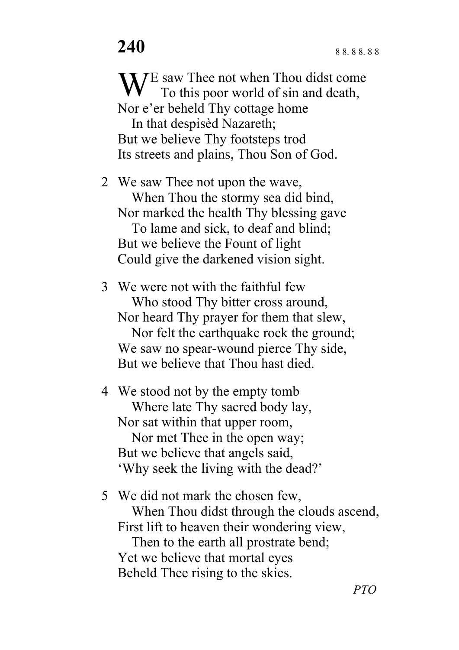W<sup>E</sup> saw Thee not when Thou didst come<br>To this poor world of sin and death, To this poor world of sin and death, Nor e'er beheld Thy cottage home In that despisèd Nazareth; But we believe Thy footsteps trod Its streets and plains, Thou Son of God.

2 We saw Thee not upon the wave, When Thou the stormy sea did bind, Nor marked the health Thy blessing gave To lame and sick, to deaf and blind; But we believe the Fount of light Could give the darkened vision sight.

3 We were not with the faithful few Who stood Thy bitter cross around, Nor heard Thy prayer for them that slew, Nor felt the earthquake rock the ground; We saw no spear-wound pierce Thy side, But we believe that Thou hast died.

4 We stood not by the empty tomb Where late Thy sacred body lay, Nor sat within that upper room, Nor met Thee in the open way; But we believe that angels said, 'Why seek the living with the dead?'

5 We did not mark the chosen few, When Thou didst through the clouds ascend, First lift to heaven their wondering view, Then to the earth all prostrate bend; Yet we believe that mortal eyes Beheld Thee rising to the skies.